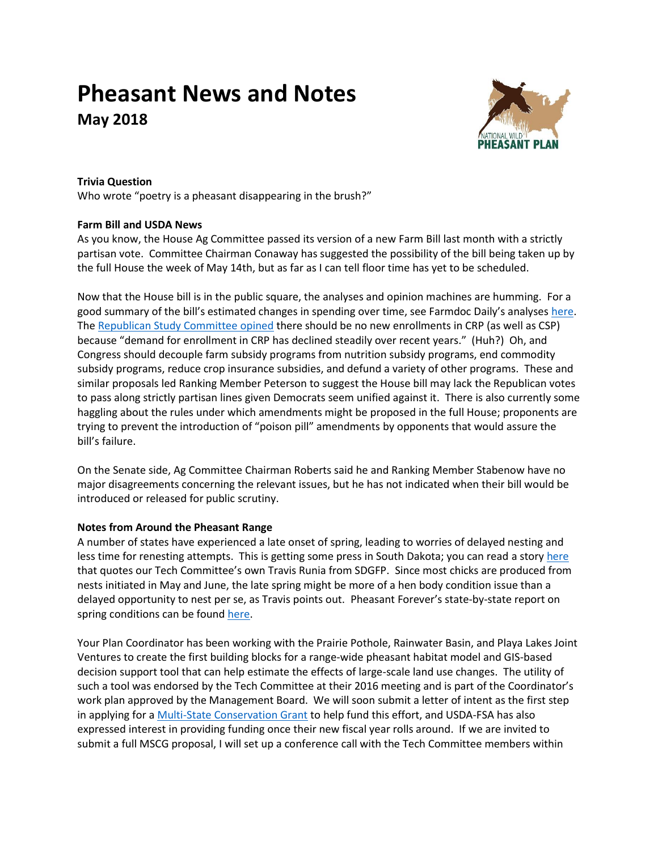# **Pheasant News and Notes May 2018**



# **Trivia Question**

Who wrote "poetry is a pheasant disappearing in the brush?"

# **Farm Bill and USDA News**

As you know, the House Ag Committee passed its version of a new Farm Bill last month with a strictly partisan vote. Committee Chairman Conaway has suggested the possibility of the bill being taken up by the full House the week of May 14th, but as far as I can tell floor time has yet to be scheduled.

Now that the House bill is in the public square, the analyses and opinion machines are humming. For a good summary of the bill's estimated changes in spending over time, see Farmdoc Daily's analyses [here.](http://farmdocdaily.illinois.edu/2018/04/initial-review-of-the-house-2018-farm-bill.html) The [Republican Study Committee opined](https://gallery.mailchimp.com/d4254037a343b683d142111e0/files/9adb45c5-7c68-4096-bba1-87560d40f0ec/RSC_Budget_FY2019_Narrative_FINAL.02.pdf) there should be no new enrollments in CRP (as well as CSP) because "demand for enrollment in CRP has declined steadily over recent years." (Huh?) Oh, and Congress should decouple farm subsidy programs from nutrition subsidy programs, end commodity subsidy programs, reduce crop insurance subsidies, and defund a variety of other programs. These and similar proposals led Ranking Member Peterson to suggest the House bill may lack the Republican votes to pass along strictly partisan lines given Democrats seem unified against it. There is also currently some haggling about the rules under which amendments might be proposed in the full House; proponents are trying to prevent the introduction of "poison pill" amendments by opponents that would assure the bill's failure.

On the Senate side, Ag Committee Chairman Roberts said he and Ranking Member Stabenow have no major disagreements concerning the relevant issues, but he has not indicated when their bill would be introduced or released for public scrutiny.

### **Notes from Around the Pheasant Range**

A number of states have experienced a late onset of spring, leading to worries of delayed nesting and less time for renesting attempts. This is getting some press in South Dakota; you can read a story [here](http://www.newsobserver.com/news/business/article210098689.html) that quotes our Tech Committee's own Travis Runia from SDGFP. Since most chicks are produced from nests initiated in May and June, the late spring might be more of a hen body condition issue than a delayed opportunity to nest per se, as Travis points out. Pheasant Forever's state-by-state report on spring conditions can be found [here.](https://pheasantsforever.org/BlogLanding/Blogs/Pheasants-Forever/Spring-2018-Pheasant-Report.aspx)

Your Plan Coordinator has been working with the Prairie Pothole, Rainwater Basin, and Playa Lakes Joint Ventures to create the first building blocks for a range-wide pheasant habitat model and GIS-based decision support tool that can help estimate the effects of large-scale land use changes. The utility of such a tool was endorsed by the Tech Committee at their 2016 meeting and is part of the Coordinator's work plan approved by the Management Board. We will soon submit a letter of intent as the first step in applying for [a Multi-State Conservation Grant](https://www.fishwildlife.org/afwa-informs/multi-state-conservation-grants-program) to help fund this effort, and USDA-FSA has also expressed interest in providing funding once their new fiscal year rolls around. If we are invited to submit a full MSCG proposal, I will set up a conference call with the Tech Committee members within